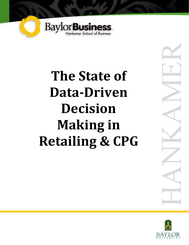

# **The State of Data-Driven Decision Making in Retailing & CPG**



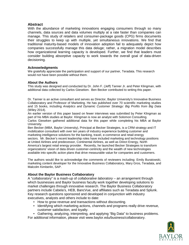#### **Abstract**

With the abundance of marketing innovations engaging consumers through so many channels, data sources and data volumes multiply at a rate faster than companies can manage. This study of retailers and consumer-package goods (CPG) firms documents their struggles to keep up with multiple, yet simultaneous innovations. We find that traditional maturity-based models of innovation adoption fail to adequately depict how companies successfully manage this data deluge; rather, a migration model describes how organizational learning capacity is developed. Further, we find that leaders must consider building absorptive capacity to work towards the overall goal of data-driven decisioning.

#### **Acknowledgments**

We gratefully appreciate the participation and support of our partner, Teradata. This research would not have been possible without them.

#### **About the Authors**

This study was designed and conducted by Dr. John F. (Jeff) Tanner Jr. and Peter Klingman, with additional data collected by Carlos Gieseken. Ben Becker contributed to writing this paper.

Dr. Tanner is an active consultant and serves as Director, Baylor University's Innovative Business Collaboratory and Professor of Marketing. He has published over 70 scientific marketing studies and 15 books, including *Analytics and Dynamic Customer Strategy: Big Profits from Big Data* (Wiley 2014).

An earlier version of this paper based on fewer interviews was submitted by Peter Klingman as part of his MBA studies at Baylor. Klingman is now an analyst with Solomon Consulting. Carlos Gieseken gathered additional data for this paper while completing his MBA at Baylor

University. Ben Becker (MBA, Baylor University), Principal at Becker Strategies, is a CRM strategy and IT mobilization consultant with over ten years of industry experience building customer and marketing intelligence solutions for the banking, travel, e-commerce and retail energy sectors. Mr. Becker's recent leadership roles have included marketing and technology positions at United Airlines and predecessor, Continental Airlines, as well as Direct Energy, North America's largest retail energy provider. Recently, he launched Becker Strategies to transform organizations' vision of data driven customer-centricity and the wealth of new technologies available into specific action plans that drive measurable value for companies and customers.

The authors would like to acknowledge the comments of reviewers including: Emily Buratowski, marketing content developer for the Innovative Business Collaboratory, Mary Gros, Teradata, and Malcolm Kimberlin, SAP.

#### **About the Baylor Business Collaboratory**

A "collaboratory" is a mash-up of *collaborative laboratory* – an arrangement through which businesses and Baylor business faculty work together developing solutions to market challenges through innovative research. The Baylor Business Collaboratory partners include Cabela's, HEB, BancVue, and affiliates such as Teradata and Splunk. Key research questions sponsored and developed in conjunction with industry executives, analysts and others include to date:

- How to grow revenue and transactions without discounting.
- Identifying which marketing actions, channels and programs really drive revenue, customer satisfaction, and loyalty.
- Gathering, analyzing, interpreting, and applying "Big Data" to business problems. For additional information, please visit www.baylor.edu/business/collaboratory.

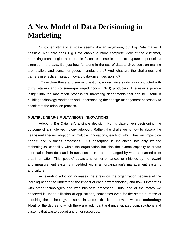# **A New Model of Data Decisioning in Marketing**

Customer intimacy at scale seems like an oxymoron, but Big Data makes it possible. Not only does Big Data enable a more complete view of the customer, marketing technologies also enable faster response in order to capture opportunities signaled in the data. But just how far along in the use of data to drive decision making are retailers and consumer-goods manufacturers? And what are the challenges and barriers in effective migration toward data-driven decisioning?

 To explore these and similar questions, a qualitative study was conducted with thirty retailers and consumer-packaged goods (CPG) producers. The results provide insight into the maturation process for marketing departments that can be useful in building technology roadmaps and understanding the change management necessary to accelerate the adoption process.

#### **MULTIPLE NEAR-SIMULTANEOUS INNOVATIONS**

Adopting Big Data isn't a single decision. Nor is data-driven decisioning the outcome of a single technology adoption. Rather, the challenge is how to absorb the near-simultaneous adoption of multiple innovations, each of which has an impact on people and business processes. This absorption is influenced not only by the technological capability within the organization but also the human capacity to create information from data and, in turn, consume and be changed by what is learned from that information. This "people" capacity is further enhanced or inhibited by the reward and measurement systems imbedded within an organization's management systems and culture.

Accelerating adoption increases the stress on the organization because of the learning needed to understand the impact of each new technology and how it integrates with other technologies and with business processes. Thus, one of the states we observed is under-utilization of applications, sometimes even for the stated purpose of acquiring the technology. In some instances, this leads to what we call **technology bloat**, or the degree to which there are redundant and under-utilized point solutions and systems that waste budget and other resources.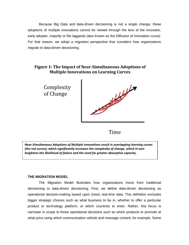Because Big Data and data-driven decisioning is not a single change, these adoptions of multiple innovations cannot be viewed through the lens of the innovator, early adopter, majority or the laggards (also known as the Diffusion of Innovation curve). For that reason, we adopt a migration perspective that considers how organizations migrate to data-driven decisioning.

# **Figure 1: The Impact of Near-Simultaneous Adoptions of Multiple Innovations on Learning Curves**

**Complexity** of Change



Time

*Near-Simultaneous Adoptions of Multiple Innovations result in overlapping learning curves (the red curves), which significantly increases the complexity of change, which in turn heightens the likelihood of failure and the need for greater absorptive capacity.* 

#### **THE MIGRATION MODEL**

The Migration Model illustrates how organizations move from traditional decisioning to data-driven decisioning. First, we define data-driven decisioning as operational decision-making based upon (near) real-time data. This definition excludes bigger strategic choices such as what business to be in, whether to offer a particular product or technology platform, or which countries to enter. Rather, this focus is narrower in scope to those operational decisions such as which products to promote at what price using which communication vehicle and message content, for example. Some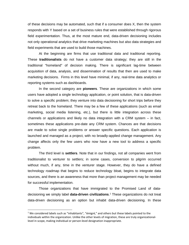of these decisions may be automated, such that if a consumer does X, then the system responds with Y based on a set of business rules that were established through rigorous field experimentation. Thus, at the most mature end, data-driven decisioning includes not only operational analytics that drive marketing machines but also data strategies and field experiments that are used to build those machines.

At the beginning are firms that use traditional data and traditional reporting. These **traditionalists** do not have a customer data strategy; they are still in the traditional "homeland" of decision making. There is significant lag-time between acquisition of data, analysis, and dissemination of results that then are used to make marketing decisions. Firms in this level have minimal, if any, real-time data analytics or reporting systems such as dashboards.

In the second category are **pioneers**. These are organizations in which some users have adopted a single technology application, or point solution, that is data-driven to solve a specific problem; they venture into data decisioning for short trips before they retreat back to the homeland. There may be a few of these applications (such as email marketing, social media listening, etc.), but there is little integration across these channels or applications and likely no data integration with a CRM system – in fact, sometimes these applications pre-date any CRM system. Chances are that decisions are made to solve single problems or answer specific questions. Each application is launched and managed as a project, with no broadly-applied change management. Any change affects only the few users who now have a new tool to address a specific problem.

The third level is **settlers**. Note that in our findings, not all companies went from traditionalist to venturer to settlers; in some cases, conversion to pilgrim occurred without much, if any, time in the venturer stage. However, they do have a defined technology roadmap that begins to reduce technology bloat, begins to integrate data sources, and there is an awareness that more than project management may be needed for successful implementation.

Those organizations that have immigrated to the Promised Land of datadecisioning we simply label **data-driven civilizations**. [1](#page-4-0) These organizations do not treat data-driven decisioning as an option but inhabit data-driven decisioning. In these

<span id="page-4-0"></span> $<sup>1</sup>$  We considered labels such as "inhabitants", "émigré," and others but these labels pointed to the</sup> individuals within the organization. Unlike the other levels of migration, these are truly organizationallevel in scope, making individual or person-level designation inappropriate. j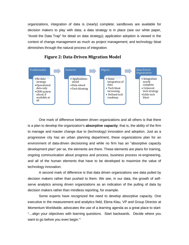organizations, integration of data is (nearly) complete; sandboxes are available for decision makers to play with data; a data strategy is in place (see our white paper, "Avoid the Data Trap" for detail on data strategy); application adoption is viewed in the context of change management as much as project management; and technology bloat diminishes through the natural process of integration.





One mark of difference between driven organizations and all others is that there is a plan to develop the organization's **absorptive capacity**; that is, the ability of the firm to manage and master change due to (technology) innovation and adoption. Just as a progressive city has an urban planning department, these organizations plan for an environment of data-driven decisioning and while no firm has an "absorptive capacity development plan" per se, the elements are there. These elements are plans for training, ongoing communication about progress and process, business process re-engineering, and all of the human elements that have to be developed to maximize the value of technology innovation.

A second mark of difference is that data driven organizations see data pulled by decision makers rather than pushed to them. We see, in our data, the growth of selfserve analytics among driven organizations as an indication of the pulling of data by decision makers rather than mindless reporting, for example.

Some experts have recognized the need to develop absorptive capacity. One executive in the measurement and analytics field, Elena Klau, VP and Group Director at Momentum Worldwide, advocates the use of a learning agenda as a great place to start: "…align your objectives with learning questions. Start backwards. Decide where you want to go before you even begin."[i](#page-12-0)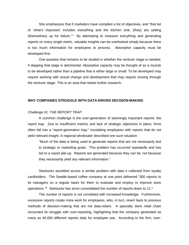She emphasizes that if marketers have compiled a list of objectives, and "that list of 'what's important' includes everything and the kitchen sink, (they) are setting (themselves) up for failure." $ii$  By attempting to measure everything and generating reports on every single metric, valuable insights can be overlooked simply because there is too much information for employees to process. Absorptive capacity must be developed first.

One question that remains to be studied is whether the venturer stage is needed; if skipping that stage is detrimental. Absorptive capacity may be thought of as a muscle to be developed rather than a pipeline that is either large or small. To be developed may require working with actual change and development that may require moving through the venturer stage. This is an area that needs further research.

#### **WHY COMPANIES STRUGGLE WITH DATA-DRIVEN DECISION-MAKING**

#### *Challenge #1: THE REPORT TRAP*

A common challenge is the over-generation of seemingly important reports: the report trap. Due to insufficient metrics and lack of strategic objectives in place, firms often fall into a "report-generation trap," inundating employees with reports that do not yield relevant insight. A regional wholesaler described one such situation:

"Much of the data is being used to generate reports that are not necessarily tied to strategic or marketing goals. This problem has occurred repeatedly and has led to a report pile-up. Reports are generated because they can be, not because they necessarily yield any relevant information."

Starbucks stumbled across a similar problem with data it collected from loyalty cardholders. The Seattle-based coffee company at one point delivered "300 reports to its managers on a regular basis for them to evaluate and employ to improve store operations." $iiii$  $iiii$  Starbucks has since consolidated the number of reports down to 11. $i$ 

The number of reports is not correlated with increased knowledge. Furthermore, excessive reports create more work for employees, who, in turn, revert back to previous methods of decision-making that are not data-reliant. A specialty store retail chain recounted its struggle with over-reporting, highlighting that the company generated as many as 40,000 different reports daily for employee use. According to the firm, over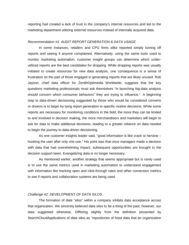reporting had created a lack of trust in the company's internal resources and led to the marketing department utilizing external resources instead of internally acquired data.

#### *Recommendation #1: AUDIT REPORT GENERATION & DATA USAGE*

In some instances, retailers and CPG firms alike reported simply turning off reports and seeing if anyone complained. Alternatively, using the same tools used to monitor marketing automation, customer insight groups can determine which underutilized reports are the best candidates for dropping. While dropping reports was usually initiated to create resources for new data analysis, one consequence is a sense of frustration on the part of those engaged in generating reports that are likely unused. Rob Jayson, chief data officer for ZenithOptimedia Worldwide, suggests that the key questions marketing professionals must ask themselves "in launching big-data analysis should concern which consumer beha[v](#page-12-4)iors" they are trying to influence. A beginning step to data-driven decisioning suggested by those who would be considered converts or drivens is to begin by tying report generation to specific routine decisions. While some reports are necessary for monitoring conditions in the field, the more they can be limited to and involved in decision making, the more merchandisers and marketers will begin to ask for data to make additional decisions, leading to a greater reliance on data needed to begin the journey to data-driven decisioning.

As one customer insights leader said, "good information is like crack or heroine – hooking the user after only one use." His point was that once managers made a decision with data that had overwhelming impact, subsequent opportunities are brought to the decision support team. Evangelizing data is no longer necessary.

As mentioned earlier, another strategy that seems appropriate but is rarely used is to use the same metrics used in marketing automation to understand engagement with information like tracking open and click-through rates and other conversion metrics to see if reports and collaboration systems are being used.

#### *Challenge #2: DEVELOPMENT OF DATA SILOS*

The formation of data "silos" within a company inhibits data acceptance across that organization. We sincerely believed data silos to be a thing of the past; however, our data suggested otherwise. Differing slightly from the definition presented by SearchCloudApplications of data silos as "repositories of fixed data that an organization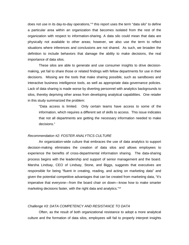does not use in its day-to-day operations,"<sup>[vi](#page-12-5)</sup> this report uses the term "data silo" to define a particular area within an organization that becomes isolated from the rest of the organization with respect to information-sharing. A data silo could mean that data are physically not available to other areas; however, we also use the term to reflect situations where inferences and conclusions are not shared. As such, we broaden the definition to include behaviors that damage the ability to make decisions, the real importance of data silos.

These silos are able to generate and use consumer insights to drive decisionmaking, yet fail to share those or related findings with fellow departments for use in their decisions. Missing are the tools that make sharing possible, such as sandboxes and interactive business intelligence tools, as well as appropriate data governance policies. Lack of data sharing is made worse by diverting personnel with analytics backgrounds to silos, thereby depriving other areas from developing analytical capabilities. One retailer in this study summarized the problem:

"Data access is limited. Only certain teams have access to some of the information, which requires a different set of skills to access. This issue indicates that not all departments are getting the necessary information needed to make decisions."

#### *Recommendation #2: FOSTER ANALYTICS CULTURE*

An organization-wide culture that embraces the use of data analytics to support decision-making eliminates the creation of data silos and allows employees to experience the benefits of cross-departmental information sharing. The data-sharing process begins with the leadership and support of senior management and the board. Marsha Lindsay, CEO of Lindsay, Stone, and Biggs, suggests that executives are responsible for being "fluent in creating, reading, and acting on marketing data" and given the potential competitive advantages that can be created from marketing data, "it's imperative that everyone—from the board chair on down—know how to make smarter marketing decisions faster, with the right data and analytics."Vil

#### *Challenge #3: DATA COMPETENCY AND RESISTANCE TO DATA*

Often, as the result of both organizational resistance to adopt a more analytical culture and the formation of data silos, employees will fail to properly interpret insights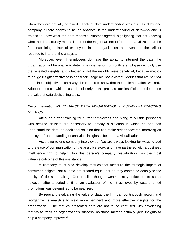when they are actually obtained. Lack of data understanding was discussed by one company: "There seems to be an absence in the understanding of data—no one is trained to know what the data means." Another agreed, highlighting that not knowing what the data actually means is one of the major barriers to further data utilization at the firm, explaining a lack of employees in the organization that even had the skillset required to interpret the analysis.

Moreover, even if employees do have the ability to interpret the data, the organization will be unable to determine whether or not frontline employees actually use the revealed insights, and whether or not the insights were beneficial, because metrics to gauge insight effectiveness and track usage are non-existent. Metrics that are not tied to business objectives can always be slanted to show that the implementation "worked." Adoption metrics, while a useful tool early in the process, are insufficient to determine the value of data decisioning tools.

### *Recommendation #3: ENHANCE DATA VISUALIZATION & ESTABLISH TRACKING METRICS*

Although further training for current employees and hiring of outside personnel with desired skillsets are necessary to remedy a situation in which no one can understand the data, an additional solution that can make strides towards improving an employees' understanding of analytical insights is better data visualization.

According to one company interviewed: "we are always looking for ways to add to the ease of communication of the analytics story, and have partnered with a business intelligence firm to help." For this person's company, visualization was the most valuable outcome of this assistance.

A company must also develop metrics that measure the strategic impact of consumer insights. Not all data are created equal, nor do they contribute equally to the quality of decision-making. One retailer thought weather may influence its sales; however, after a period of time, an evaluation of the lift achieved by weather-timed promotions was determined to be near zero.

By regularly evaluating the value of data, the firm can continuously rework and reorganize its analytics to yield more pertinent and more effective insights for the organization. The metrics presented here are not to be confused with developing metrics to track an organization's success, as those metrics actually yield insights to help a company improve. viii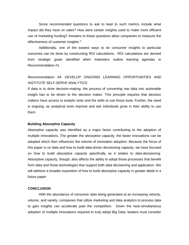Some recommended questions to ask to lead to such metrics include what impact did they have on sales? How were certain insights used to make more efficient use of marketing funding? Answers to these questions allow companies to measure the effectiveness of customer insights.<sup>[ix](#page-12-8)</sup>

Additionally, one of the easiest ways to tie consumer insights to particular outcomes can be done by constructing ROI calculations. ROI calculations are derived from strategic goals identified when marketers outline learning agendas in Recommendation #1.

# *Recommendation #4: DEVELOP ONGOING LEARNING OPPORTUNITIES AND INSTITUTE SELF-SERVE ANALYTICS*

If data is to drive decision-making, the process of converting raw data into actionable insight has to be driven to the decision maker. This principle requires that decision makers have access to analytic tools and the skills to use those tools. Further, the need is ongoing, as analytical tools improve and ask individuals grow in their ability to use them.

#### **Building Absorptive Capacity**

Absorptive capacity was identified as a major factor contributing to the adoption of multiple innovations. The greater the absorptive capacity, the faster innovations can be adopted which then influences the volume of innovation adoption. Because the focus of this paper is on data and how to build data-driven decisioning capacity, we have focused on how to build absorptive capacity specifically as it relates to data-decisioning. Absorptive capacity, though, also affects the ability to adopt those processes that benefit from data and those technologies that support both data decisioning and application. We will address a broader exposition of how to build absorptive capacity in greater detail in a future paper.

#### **CONCLUSION**

With the abundance of consumer data being generated at an increasing velocity, volume, and variety, companies that utilize marketing and data analytics to process data to gain insights can accelerate past the competition. Given the near-simultaneous adoption of multiple innovations required to truly adopt Big Data, leaders must consider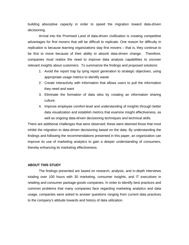building absorptive capacity in order to speed the migration toward data-driven decisioning.

Arrival into the Promised Land of data-driven civillization is creating competitive advantages for first movers that will be difficult to replicate. One reason for difficulty in replication is because learning organizations stay first movers – that is, they continue to be first to move because of their ability to absorb data-driven change. Therefore, companies must realize the need to improve data analysis capabilities to uncover relevant insights about customers. To summarize the findings and proposed solutions:

- 1. Avoid the report trap by tying report generation to strategic objectives, using appropriate usage metrics to identify waste
- 2. Create interactivity with information that allows users to pull the information they need and want
- 3. Eliminate the formation of data silos by creating an information sharing culture.
- 4. Improve employee comfort-level and understanding of insights through better data visualization and establish metrics that examine insight effectiveness, as well as ongoing data-driven decisioning techniques and technical skills.

There are additional challenges that were observed; these were deemed those that most inhibit the migration to data-driven decisioning based on the data. By understanding the findings and following the recommendations presented in this paper, an organization can improve its use of marketing analytics to gain a deeper understanding of consumers, thereby enhancing its marketing effectiveness.

#### **ABOUT THIS STUDY**

The findings presented are based on research, analysis, and in-depth interviews totaling over 100 hours with 30 marketing, consumer insights, and IT executives in retailing and consumer package goods companies. In order to identify best practices and common problems that many companies face regarding marketing analytics and data usage, companies were asked to answer questions ranging from current data practices to the company's attitude towards and history of data utilization.